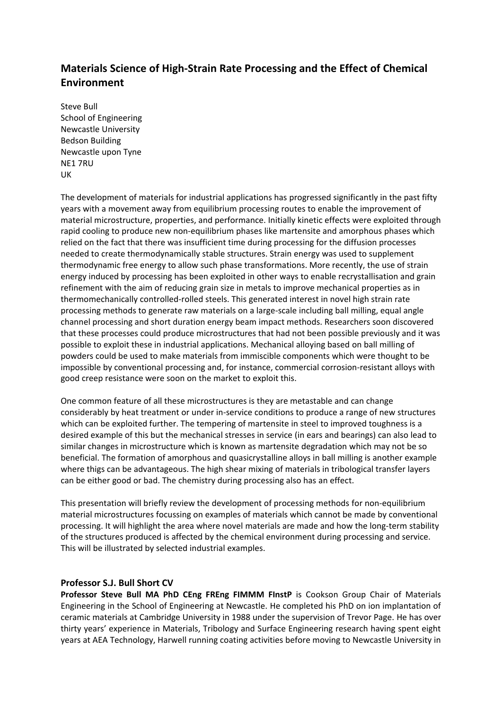## **Materials Science of High‐Strain Rate Processing and the Effect of Chemical Environment**

Steve Bull School of Engineering Newcastle University Bedson Building Newcastle upon Tyne NE1 7RU UK

The development of materials for industrial applications has progressed significantly in the past fifty years with a movement away from equilibrium processing routes to enable the improvement of material microstructure, properties, and performance. Initially kinetic effects were exploited through rapid cooling to produce new non-equilibrium phases like martensite and amorphous phases which relied on the fact that there was insufficient time during processing for the diffusion processes needed to create thermodynamically stable structures. Strain energy was used to supplement thermodynamic free energy to allow such phase transformations. More recently, the use of strain energy induced by processing has been exploited in other ways to enable recrystallisation and grain refinement with the aim of reducing grain size in metals to improve mechanical properties as in thermomechanically controlled-rolled steels. This generated interest in novel high strain rate processing methods to generate raw materials on a large-scale including ball milling, equal angle channel processing and short duration energy beam impact methods. Researchers soon discovered that these processes could produce microstructures that had not been possible previously and it was possible to exploit these in industrial applications. Mechanical alloying based on ball milling of powders could be used to make materials from immiscible components which were thought to be impossible by conventional processing and, for instance, commercial corrosion-resistant alloys with good creep resistance were soon on the market to exploit this.

One common feature of all these microstructures is they are metastable and can change considerably by heat treatment or under in-service conditions to produce a range of new structures which can be exploited further. The tempering of martensite in steel to improved toughness is a desired example of this but the mechanical stresses in service (in ears and bearings) can also lead to similar changes in microstructure which is known as martensite degradation which may not be so beneficial. The formation of amorphous and quasicrystalline alloys in ball milling is another example where thigs can be advantageous. The high shear mixing of materials in tribological transfer layers can be either good or bad. The chemistry during processing also has an effect.

This presentation will briefly review the development of processing methods for non-equilibrium material microstructures focussing on examples of materials which cannot be made by conventional processing. It will highlight the area where novel materials are made and how the long-term stability of the structures produced is affected by the chemical environment during processing and service. This will be illustrated by selected industrial examples.

## **Professor S.J. Bull Short CV**

**Professor Steve Bull MA PhD CEng FREng FIMMM FInstP** is Cookson Group Chair of Materials Engineering in the School of Engineering at Newcastle. He completed his PhD on ion implantation of ceramic materials at Cambridge University in 1988 under the supervision of Trevor Page. He has over thirty years' experience in Materials, Tribology and Surface Engineering research having spent eight years at AEA Technology, Harwell running coating activities before moving to Newcastle University in